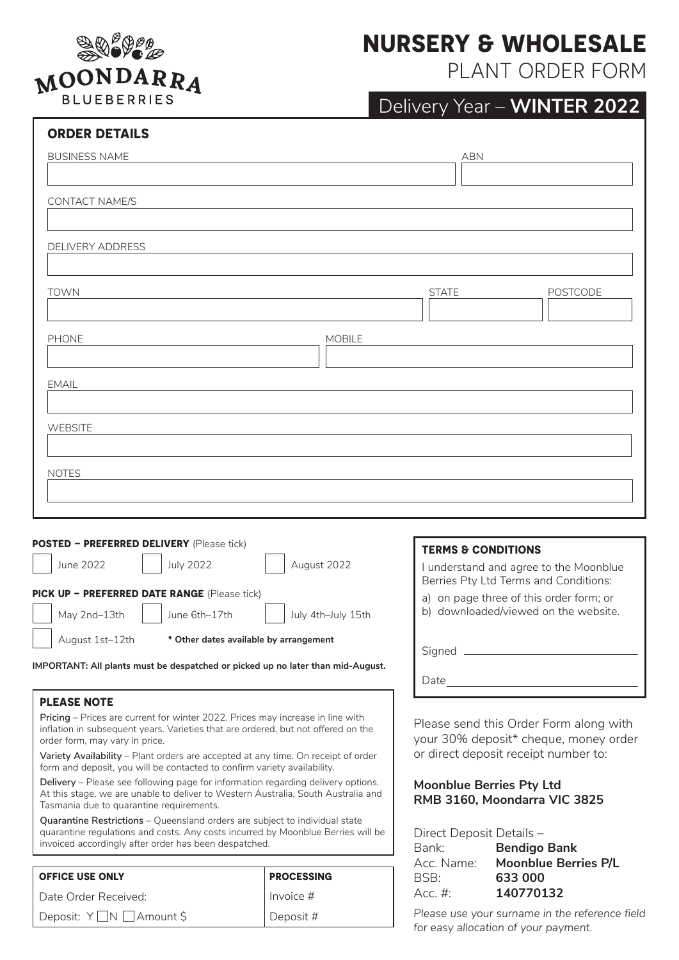

# **NURSERY & WHOLESALE**

PLANT ORDER FORM

| <b>ORDER DETAILS</b>                                                                      |                                                                                 |  |  |  |
|-------------------------------------------------------------------------------------------|---------------------------------------------------------------------------------|--|--|--|
| <b>BUSINESS NAME</b>                                                                      | <b>ABN</b>                                                                      |  |  |  |
| CONTACT NAME/S                                                                            |                                                                                 |  |  |  |
| <b>DELIVERY ADDRESS</b>                                                                   |                                                                                 |  |  |  |
| <b>TOWN</b>                                                                               | <b>STATE</b><br><b>POSTCODE</b>                                                 |  |  |  |
| <b>MOBILE</b><br><b>PHONE</b>                                                             |                                                                                 |  |  |  |
| <b>EMAIL</b>                                                                              |                                                                                 |  |  |  |
| <b>WEBSITE</b>                                                                            |                                                                                 |  |  |  |
| <b>NOTES</b>                                                                              |                                                                                 |  |  |  |
|                                                                                           |                                                                                 |  |  |  |
| POSTED - PREFERRED DELIVERY (Please tick)<br><b>July 2022</b><br>August 2022<br>June 2022 | <b>TERMS &amp; CONDITIONS</b>                                                   |  |  |  |
| PICK UP - PREFERRED DATE RANGE (Please tick)                                              | I understand and agree to the Moonblue<br>Berries Pty Ltd Terms and Conditions: |  |  |  |
| May 2nd-13th<br>June 6th-17th<br>July 4th-July 15th                                       | a) on page three of this order form; or<br>b) downloaded/viewed on the website. |  |  |  |
| August 1st-12th<br>* Other dates available by arrangement                                 | Signed _                                                                        |  |  |  |

**IMPORTANT: All plants must be despatched or picked up no later than mid-August.**

### **PLEASE NOTE**

**Pricing** – Prices are current for winter 2022. Prices may increase in line with inflation in subsequent years. Varieties that are ordered, but not offered on the order form, may vary in price.

**Variety Availability** – Plant orders are accepted at any time. On receipt of order form and deposit, you will be contacted to confirm variety availability.

**Delivery** – Please see following page for information regarding delivery options. At this stage, we are unable to deliver to Western Australia, South Australia and Tasmania due to quarantine requirements.

**Quarantine Restrictions** – Queensland orders are subject to individual state quarantine regulations and costs. Any costs incurred by Moonblue Berries will be invoiced accordingly after order has been despatched.

| <b>OFFICE USE ONLY</b>  | <b>PROCESSING</b> |  |  |
|-------------------------|-------------------|--|--|
| l Date Order Received:  | Invoice #         |  |  |
| Deposit: Y∐N ∐Amount \$ | Deposit #         |  |  |

| Berries Pty Ltd Terms and Conditions:                                           |
|---------------------------------------------------------------------------------|
| a) on page three of this order form; or<br>b) downloaded/viewed on the website. |
|                                                                                 |
| Jate                                                                            |
|                                                                                 |

Please send this Order Form along with your 30% deposit\* cheque, money order or direct deposit receipt number to:

## **Moonblue Berries Pty Ltd RMB 3160, Moondarra VIC 3825**

Direct Deposit Details –

| <u>Direct Deposit Details</u> |
|-------------------------------|
| <b>Bendigo Bank</b>           |
| <b>Moonblue Berries P/L</b>   |
| 633 000                       |
| 140770132                     |
|                               |

*Please use your surname in the reference field for easy allocation of your payment.*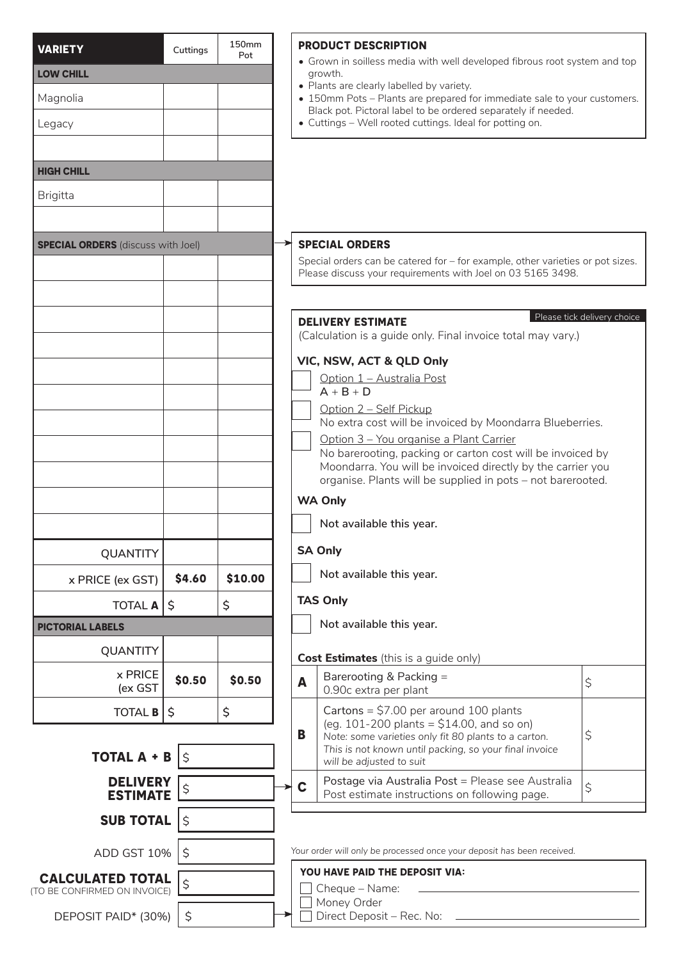| <b>VARIETY</b>                            | Cuttings    | 150 <sub>mm</sub><br>Pot                                                                                |                                                                                                                            | <b>PRODUCT DESCRIPTION</b>                                                                                                                                                             |                             |  |
|-------------------------------------------|-------------|---------------------------------------------------------------------------------------------------------|----------------------------------------------------------------------------------------------------------------------------|----------------------------------------------------------------------------------------------------------------------------------------------------------------------------------------|-----------------------------|--|
| <b>LOW CHILL</b>                          |             |                                                                                                         | • Grown in soilless media with well developed fibrous root system and top<br>growth.                                       |                                                                                                                                                                                        |                             |  |
| Magnolia                                  |             |                                                                                                         |                                                                                                                            | • Plants are clearly labelled by variety.<br>• 150mm Pots - Plants are prepared for immediate sale to your customers.<br>Black pot. Pictoral label to be ordered separately if needed. |                             |  |
| Legacy                                    |             |                                                                                                         |                                                                                                                            | • Cuttings - Well rooted cuttings. Ideal for potting on.                                                                                                                               |                             |  |
|                                           |             |                                                                                                         |                                                                                                                            |                                                                                                                                                                                        |                             |  |
| <b>HIGH CHILL</b>                         |             |                                                                                                         |                                                                                                                            |                                                                                                                                                                                        |                             |  |
| <b>Brigitta</b>                           |             |                                                                                                         |                                                                                                                            |                                                                                                                                                                                        |                             |  |
|                                           |             |                                                                                                         |                                                                                                                            |                                                                                                                                                                                        |                             |  |
| <b>SPECIAL ORDERS</b> (discuss with Joel) |             | <b>SPECIAL ORDERS</b><br>Special orders can be catered for - for example, other varieties or pot sizes. |                                                                                                                            |                                                                                                                                                                                        |                             |  |
|                                           |             |                                                                                                         | Please discuss your requirements with Joel on 03 5165 3498.                                                                |                                                                                                                                                                                        |                             |  |
|                                           |             |                                                                                                         |                                                                                                                            |                                                                                                                                                                                        | Please tick delivery choice |  |
|                                           |             |                                                                                                         |                                                                                                                            | <b>DELIVERY ESTIMATE</b><br>(Calculation is a guide only. Final invoice total may vary.)                                                                                               |                             |  |
|                                           |             |                                                                                                         | VIC, NSW, ACT & QLD Only                                                                                                   |                                                                                                                                                                                        |                             |  |
|                                           |             |                                                                                                         |                                                                                                                            | Option 1 - Australia Post<br>$A + B + D$                                                                                                                                               |                             |  |
|                                           |             |                                                                                                         |                                                                                                                            | Option 2 - Self Pickup                                                                                                                                                                 |                             |  |
|                                           |             |                                                                                                         |                                                                                                                            | No extra cost will be invoiced by Moondarra Blueberries.                                                                                                                               |                             |  |
|                                           |             |                                                                                                         |                                                                                                                            | Option 3 - You organise a Plant Carrier<br>No barerooting, packing or carton cost will be invoiced by                                                                                  |                             |  |
|                                           |             |                                                                                                         | Moondarra. You will be invoiced directly by the carrier you<br>organise. Plants will be supplied in pots - not barerooted. |                                                                                                                                                                                        |                             |  |
|                                           |             |                                                                                                         | <b>WA Only</b>                                                                                                             |                                                                                                                                                                                        |                             |  |
|                                           |             |                                                                                                         |                                                                                                                            | Not available this year.                                                                                                                                                               |                             |  |
| <b>QUANTITY</b>                           |             |                                                                                                         |                                                                                                                            | <b>SA Only</b>                                                                                                                                                                         |                             |  |
| x PRICE (ex GST)                          | \$4.60      | \$10.00                                                                                                 |                                                                                                                            | Not available this year.                                                                                                                                                               |                             |  |
| <b>TOTAL A</b>                            | Ŝ.          | \$                                                                                                      |                                                                                                                            | <b>TAS Only</b>                                                                                                                                                                        |                             |  |
| <b>PICTORIAL LABELS</b>                   |             |                                                                                                         |                                                                                                                            | Not available this year.                                                                                                                                                               |                             |  |
| <b>QUANTITY</b>                           |             |                                                                                                         |                                                                                                                            | <b>Cost Estimates</b> (this is a guide only)                                                                                                                                           |                             |  |
| x PRICE<br>(ex GST                        | \$0.50      | \$0.50                                                                                                  | A                                                                                                                          | Barerooting & Packing =<br>0.90c extra per plant                                                                                                                                       | $\varsigma$                 |  |
| <b>TOTAL B</b>                            | \$          | \$                                                                                                      |                                                                                                                            | Cartons = $$7.00$ per around 100 plants                                                                                                                                                |                             |  |
|                                           |             |                                                                                                         | B                                                                                                                          | (eg. 101-200 plants = $$14.00$ , and so on)<br>Note: some varieties only fit 80 plants to a carton.                                                                                    | \$                          |  |
| <b>TOTAL A + B</b>                        |             |                                                                                                         |                                                                                                                            | This is not known until packing, so your final invoice<br>will be adjusted to suit                                                                                                     |                             |  |
| <b>DELIVERY</b><br><b>ESTIMATE</b>        | \$          |                                                                                                         | $\mathbf c$                                                                                                                | Postage via Australia Post = Please see Australia<br>Post estimate instructions on following page.                                                                                     | \$                          |  |
| <b>SUB TOTAL</b>                          | $\varsigma$ |                                                                                                         |                                                                                                                            |                                                                                                                                                                                        |                             |  |
| ADD GST 10%                               | \$          |                                                                                                         |                                                                                                                            | Your order will only be processed once your deposit has been received.                                                                                                                 |                             |  |
| <b>CALCULATED TOTAL</b>                   | \$          |                                                                                                         |                                                                                                                            | YOU HAVE PAID THE DEPOSIT VIA:                                                                                                                                                         |                             |  |
| (TO BE CONFIRMED ON INVOICE)              |             |                                                                                                         |                                                                                                                            | Cheque - Name:<br>Money Order                                                                                                                                                          |                             |  |
| DEPOSIT PAID* (30%)                       | \$          |                                                                                                         |                                                                                                                            | Direct Deposit - Rec. No:                                                                                                                                                              |                             |  |